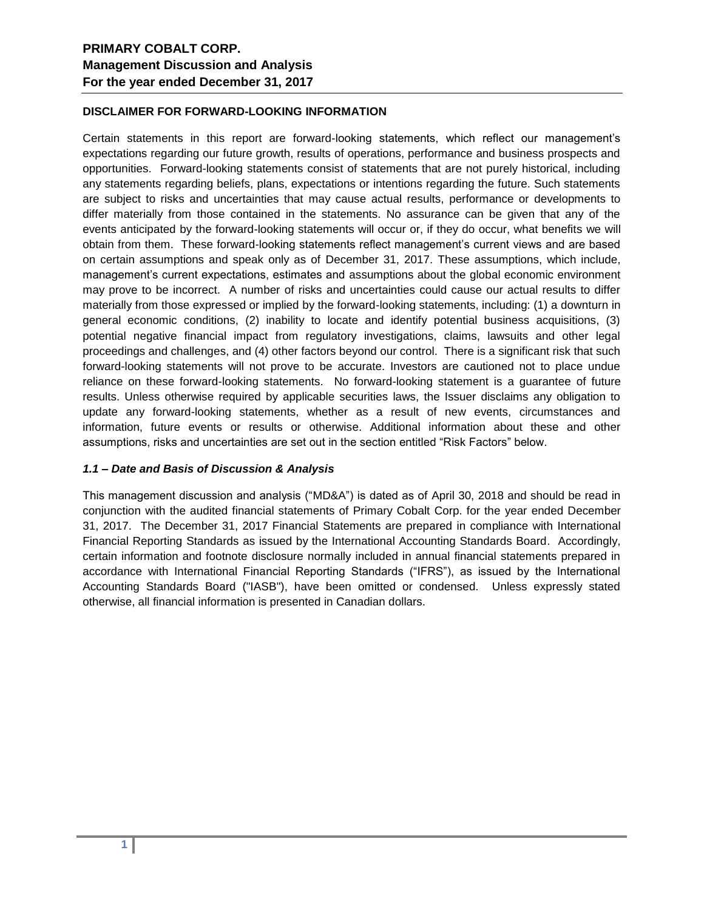### **DISCLAIMER FOR FORWARD-LOOKING INFORMATION**

Certain statements in this report are forward-looking statements, which reflect our management's expectations regarding our future growth, results of operations, performance and business prospects and opportunities. Forward-looking statements consist of statements that are not purely historical, including any statements regarding beliefs, plans, expectations or intentions regarding the future. Such statements are subject to risks and uncertainties that may cause actual results, performance or developments to differ materially from those contained in the statements. No assurance can be given that any of the events anticipated by the forward-looking statements will occur or, if they do occur, what benefits we will obtain from them. These forward-looking statements reflect management's current views and are based on certain assumptions and speak only as of December 31, 2017. These assumptions, which include, management's current expectations, estimates and assumptions about the global economic environment may prove to be incorrect. A number of risks and uncertainties could cause our actual results to differ materially from those expressed or implied by the forward-looking statements, including: (1) a downturn in general economic conditions, (2) inability to locate and identify potential business acquisitions, (3) potential negative financial impact from regulatory investigations, claims, lawsuits and other legal proceedings and challenges, and (4) other factors beyond our control. There is a significant risk that such forward-looking statements will not prove to be accurate. Investors are cautioned not to place undue reliance on these forward-looking statements. No forward-looking statement is a guarantee of future results. Unless otherwise required by applicable securities laws, the Issuer disclaims any obligation to update any forward-looking statements, whether as a result of new events, circumstances and information, future events or results or otherwise. Additional information about these and other assumptions, risks and uncertainties are set out in the section entitled "Risk Factors" below.

#### *1.1 – Date and Basis of Discussion & Analysis*

This management discussion and analysis ("MD&A") is dated as of April 30, 2018 and should be read in conjunction with the audited financial statements of Primary Cobalt Corp. for the year ended December 31, 2017. The December 31, 2017 Financial Statements are prepared in compliance with International Financial Reporting Standards as issued by the International Accounting Standards Board. Accordingly, certain information and footnote disclosure normally included in annual financial statements prepared in accordance with International Financial Reporting Standards ("IFRS"), as issued by the International Accounting Standards Board ("IASB"), have been omitted or condensed. Unless expressly stated otherwise, all financial information is presented in Canadian dollars.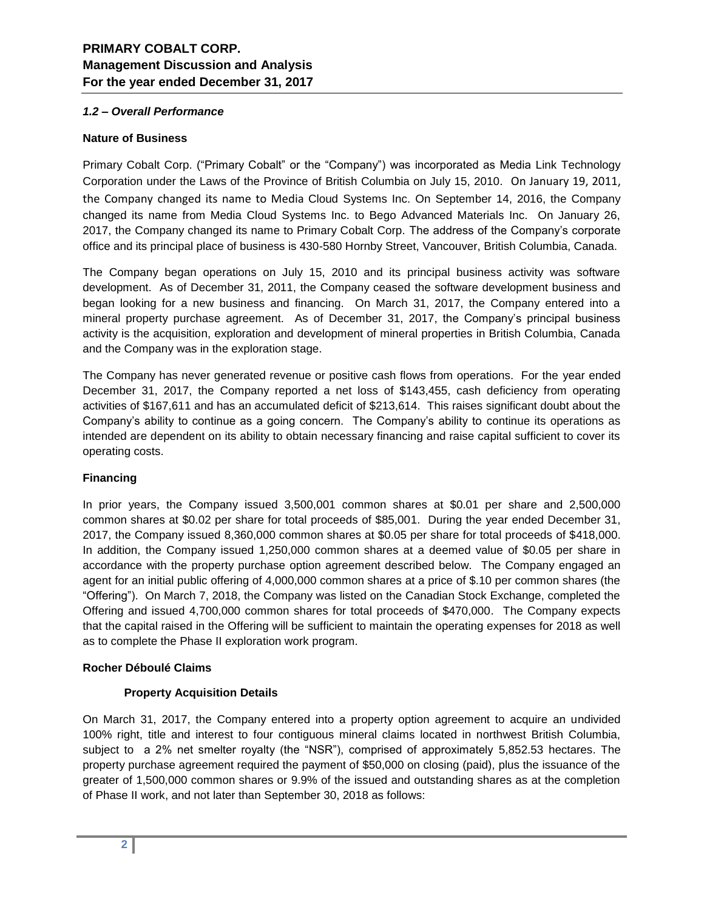### *1.2 – Overall Performance*

### **Nature of Business**

Primary Cobalt Corp. ("Primary Cobalt" or the "Company") was incorporated as Media Link Technology Corporation under the Laws of the Province of British Columbia on July 15, 2010. On January 19, 2011, the Company changed its name to Media Cloud Systems Inc. On September 14, 2016, the Company changed its name from Media Cloud Systems Inc. to Bego Advanced Materials Inc. On January 26, 2017, the Company changed its name to Primary Cobalt Corp. The address of the Company's corporate office and its principal place of business is 430-580 Hornby Street, Vancouver, British Columbia, Canada.

The Company began operations on July 15, 2010 and its principal business activity was software development. As of December 31, 2011, the Company ceased the software development business and began looking for a new business and financing. On March 31, 2017, the Company entered into a mineral property purchase agreement. As of December 31, 2017, the Company's principal business activity is the acquisition, exploration and development of mineral properties in British Columbia, Canada and the Company was in the exploration stage.

The Company has never generated revenue or positive cash flows from operations. For the year ended December 31, 2017, the Company reported a net loss of \$143,455, cash deficiency from operating activities of \$167,611 and has an accumulated deficit of \$213,614. This raises significant doubt about the Company's ability to continue as a going concern. The Company's ability to continue its operations as intended are dependent on its ability to obtain necessary financing and raise capital sufficient to cover its operating costs.

## **Financing**

In prior years, the Company issued 3,500,001 common shares at \$0.01 per share and 2,500,000 common shares at \$0.02 per share for total proceeds of \$85,001. During the year ended December 31, 2017, the Company issued 8,360,000 common shares at \$0.05 per share for total proceeds of \$418,000. In addition, the Company issued 1,250,000 common shares at a deemed value of \$0.05 per share in accordance with the property purchase option agreement described below. The Company engaged an agent for an initial public offering of 4,000,000 common shares at a price of \$.10 per common shares (the "Offering"). On March 7, 2018, the Company was listed on the Canadian Stock Exchange, completed the Offering and issued 4,700,000 common shares for total proceeds of \$470,000. The Company expects that the capital raised in the Offering will be sufficient to maintain the operating expenses for 2018 as well as to complete the Phase II exploration work program.

### **Rocher Déboulé Claims**

## **Property Acquisition Details**

On March 31, 2017, the Company entered into a property option agreement to acquire an undivided 100% right, title and interest to four contiguous mineral claims located in northwest British Columbia, subject to a 2% net smelter royalty (the "NSR"), comprised of approximately 5,852.53 hectares. The property purchase agreement required the payment of \$50,000 on closing (paid), plus the issuance of the greater of 1,500,000 common shares or 9.9% of the issued and outstanding shares as at the completion of Phase II work, and not later than September 30, 2018 as follows: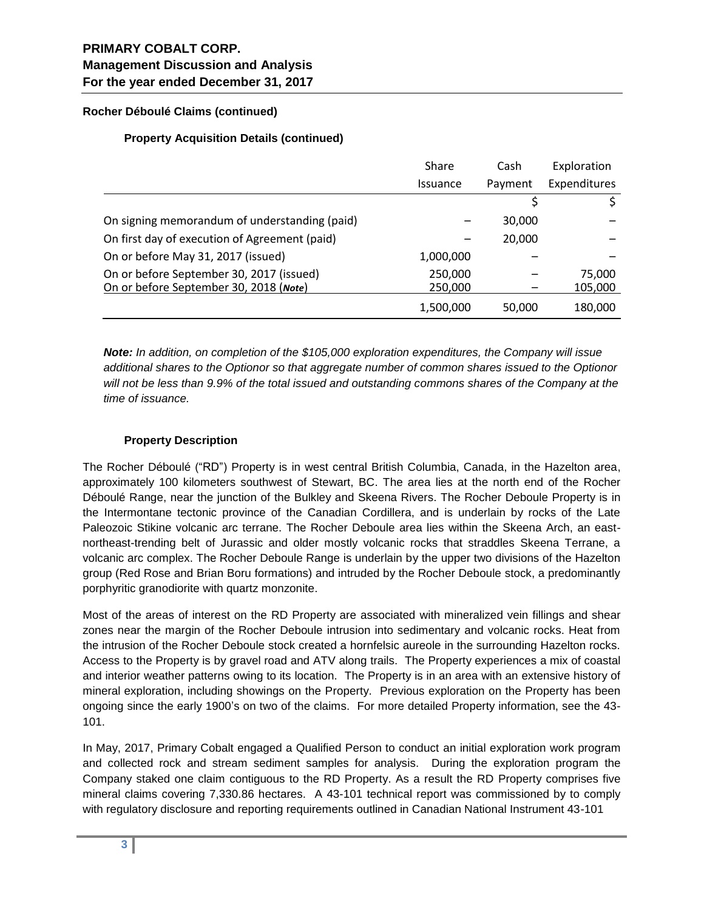# **PRIMARY COBALT CORP. Management Discussion and Analysis For the year ended December 31, 2017**

## **Rocher Déboulé Claims (continued)**

## **Property Acquisition Details (continued)**

|                                               | Share           | Cash    | Exploration  |
|-----------------------------------------------|-----------------|---------|--------------|
|                                               | <b>Issuance</b> | Payment | Expenditures |
|                                               |                 |         |              |
| On signing memorandum of understanding (paid) |                 | 30,000  |              |
| On first day of execution of Agreement (paid) |                 | 20,000  |              |
| On or before May 31, 2017 (issued)            | 1,000,000       |         |              |
| On or before September 30, 2017 (issued)      | 250,000         |         | 75,000       |
| On or before September 30, 2018 (Note)        | 250,000         |         | 105,000      |
|                                               | 1,500,000       | 50,000  | 180,000      |

*Note: In addition, on completion of the \$105,000 exploration expenditures, the Company will issue additional shares to the Optionor so that aggregate number of common shares issued to the Optionor will not be less than 9.9% of the total issued and outstanding commons shares of the Company at the time of issuance.* 

## **Property Description**

The Rocher Déboulé ("RD") Property is in west central British Columbia, Canada, in the Hazelton area, approximately 100 kilometers southwest of Stewart, BC. The area lies at the north end of the Rocher Déboulé Range, near the junction of the Bulkley and Skeena Rivers. The Rocher Deboule Property is in the Intermontane tectonic province of the Canadian Cordillera, and is underlain by rocks of the Late Paleozoic Stikine volcanic arc terrane. The Rocher Deboule area lies within the Skeena Arch, an eastnortheast-trending belt of Jurassic and older mostly volcanic rocks that straddles Skeena Terrane, a volcanic arc complex. The Rocher Deboule Range is underlain by the upper two divisions of the Hazelton group (Red Rose and Brian Boru formations) and intruded by the Rocher Deboule stock, a predominantly porphyritic granodiorite with quartz monzonite.

Most of the areas of interest on the RD Property are associated with mineralized vein fillings and shear zones near the margin of the Rocher Deboule intrusion into sedimentary and volcanic rocks. Heat from the intrusion of the Rocher Deboule stock created a hornfelsic aureole in the surrounding Hazelton rocks. Access to the Property is by gravel road and ATV along trails. The Property experiences a mix of coastal and interior weather patterns owing to its location. The Property is in an area with an extensive history of mineral exploration, including showings on the Property. Previous exploration on the Property has been ongoing since the early 1900's on two of the claims. For more detailed Property information, see the 43- 101.

In May, 2017, Primary Cobalt engaged a Qualified Person to conduct an initial exploration work program and collected rock and stream sediment samples for analysis. During the exploration program the Company staked one claim contiguous to the RD Property. As a result the RD Property comprises five mineral claims covering 7,330.86 hectares. A 43-101 technical report was commissioned by to comply with regulatory disclosure and reporting requirements outlined in Canadian National Instrument 43-101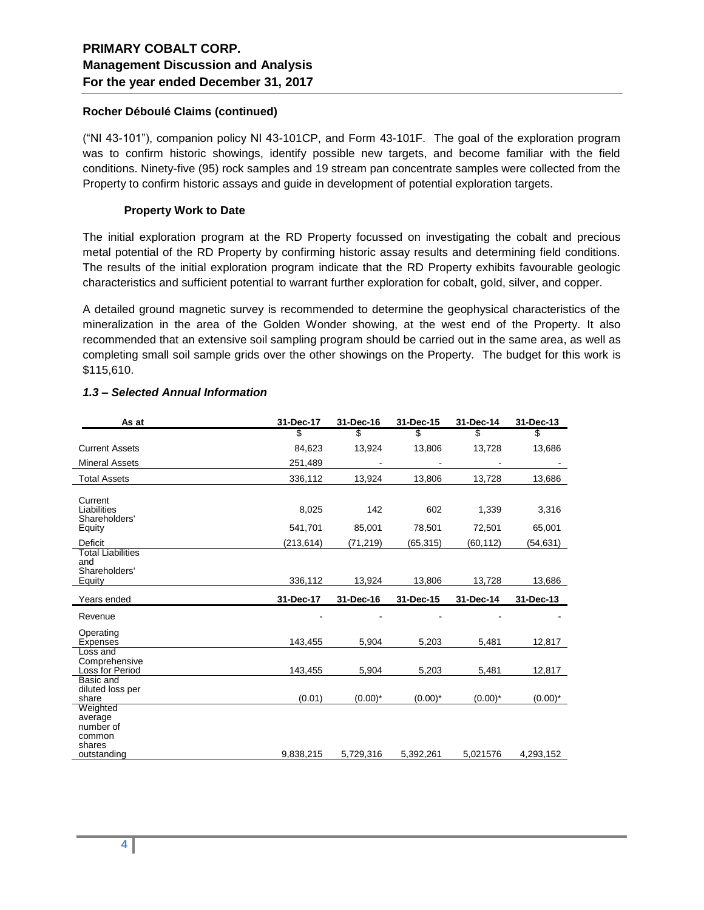#### **Rocher Déboulé Claims (continued)**

("NI 43-101"), companion policy NI 43-101CP, and Form 43-101F. The goal of the exploration program was to confirm historic showings, identify possible new targets, and become familiar with the field conditions. Ninety-five (95) rock samples and 19 stream pan concentrate samples were collected from the Property to confirm historic assays and guide in development of potential exploration targets.

### **Property Work to Date**

The initial exploration program at the RD Property focussed on investigating the cobalt and precious metal potential of the RD Property by confirming historic assay results and determining field conditions. The results of the initial exploration program indicate that the RD Property exhibits favourable geologic characteristics and sufficient potential to warrant further exploration for cobalt, gold, silver, and copper.

A detailed ground magnetic survey is recommended to determine the geophysical characteristics of the mineralization in the area of the Golden Wonder showing, at the west end of the Property. It also recommended that an extensive soil sampling program should be carried out in the same area, as well as completing small soil sample grids over the other showings on the Property. The budget for this work is \$115,610.

| As at                                                | 31-Dec-17  | 31-Dec-16  | 31-Dec-15  | 31-Dec-14  | 31-Dec-13  |
|------------------------------------------------------|------------|------------|------------|------------|------------|
|                                                      | \$         | \$         | \$         | \$         | \$         |
| <b>Current Assets</b>                                | 84,623     | 13,924     | 13,806     | 13,728     | 13,686     |
| <b>Mineral Assets</b>                                | 251,489    |            |            |            |            |
| <b>Total Assets</b>                                  | 336,112    | 13,924     | 13,806     | 13,728     | 13,686     |
| Current<br>Liabilities<br>Shareholders'              | 8,025      | 142        | 602        | 1,339      | 3,316      |
| Equity                                               | 541,701    | 85,001     | 78,501     | 72,501     | 65,001     |
| Deficit                                              | (213, 614) | (71, 219)  | (65, 315)  | (60,112)   | (54, 631)  |
| Total Liabilities<br>and<br>Shareholders'<br>Equity  | 336,112    | 13,924     | 13,806     | 13,728     | 13,686     |
|                                                      |            |            |            |            |            |
| Years ended                                          | 31-Dec-17  | 31-Dec-16  | 31-Dec-15  | 31-Dec-14  | 31-Dec-13  |
| Revenue                                              |            |            |            |            |            |
| Operating<br>Expenses                                | 143,455    | 5,904      | 5,203      | 5,481      | 12,817     |
| Loss and<br>Comprehensive<br>Loss for Period         | 143,455    | 5,904      | 5,203      | 5,481      | 12,817     |
| Basic and<br>diluted loss per<br>share               | (0.01)     | $(0.00)^*$ | $(0.00)^*$ | $(0.00)^*$ | $(0.00)^*$ |
| Weighted<br>average<br>number of<br>common<br>shares |            |            |            |            |            |

## *1.3 – Selected Annual Information*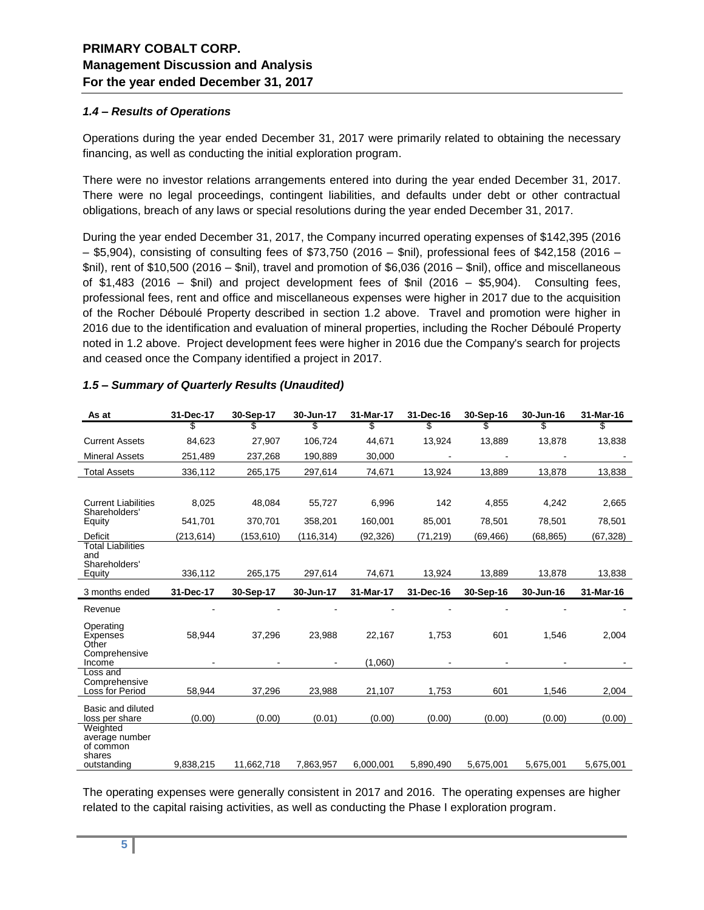### *1.4 – Results of Operations*

Operations during the year ended December 31, 2017 were primarily related to obtaining the necessary financing, as well as conducting the initial exploration program.

There were no investor relations arrangements entered into during the year ended December 31, 2017. There were no legal proceedings, contingent liabilities, and defaults under debt or other contractual obligations, breach of any laws or special resolutions during the year ended December 31, 2017.

During the year ended December 31, 2017, the Company incurred operating expenses of \$142,395 (2016  $-$  \$5,904), consisting of consulting fees of \$73,750 (2016 – \$nil), professional fees of \$42,158 (2016 – \$nil), rent of \$10,500 (2016 – \$nil), travel and promotion of \$6,036 (2016 – \$nil), office and miscellaneous of \$1,483 (2016 – \$nil) and project development fees of \$nil (2016 – \$5,904). Consulting fees, professional fees, rent and office and miscellaneous expenses were higher in 2017 due to the acquisition of the Rocher Déboulé Property described in section 1.2 above. Travel and promotion were higher in 2016 due to the identification and evaluation of mineral properties, including the Rocher Déboulé Property noted in 1.2 above. Project development fees were higher in 2016 due the Company's search for projects and ceased once the Company identified a project in 2017.

| As at                                                      | 31-Dec-17 | 30-Sep-17  | 30-Jun-17 | 31-Mar-17         | 31-Dec-16 | 30-Sep-16 | 30-Jun-16 | 31-Mar-16 |
|------------------------------------------------------------|-----------|------------|-----------|-------------------|-----------|-----------|-----------|-----------|
|                                                            | \$        | \$         | \$        | \$                | \$        |           | \$        | \$        |
| <b>Current Assets</b>                                      | 84,623    | 27,907     | 106,724   | 44,671            | 13,924    | 13,889    | 13,878    | 13,838    |
| <b>Mineral Assets</b>                                      | 251,489   | 237,268    | 190,889   | 30,000            |           |           |           |           |
| <b>Total Assets</b>                                        | 336,112   | 265,175    | 297,614   | 74,671            | 13,924    | 13,889    | 13,878    | 13,838    |
|                                                            |           |            |           |                   |           |           |           |           |
| <b>Current Liabilities</b><br>Shareholders'                | 8,025     | 48,084     | 55,727    | 6,996             | 142       | 4,855     | 4,242     | 2,665     |
| Equity                                                     | 541,701   | 370.701    | 358,201   | 160.001           | 85.001    | 78,501    | 78.501    | 78,501    |
| Deficit                                                    | (213,614) | (153, 610) | (116,314) | (92,326)          | (71, 219) | (69, 466) | (68, 865) | (67,328)  |
| <b>Total Liabilities</b><br>and<br>Shareholders'<br>Equity | 336,112   | 265,175    | 297,614   | 74,671            | 13,924    | 13,889    | 13,878    | 13,838    |
| 3 months ended                                             | 31-Dec-17 | 30-Sep-17  | 30-Jun-17 | 31-Mar-17         | 31-Dec-16 | 30-Sep-16 | 30-Jun-16 | 31-Mar-16 |
| Revenue                                                    |           |            |           |                   |           |           |           |           |
| Operating<br>Expenses<br>Other<br>Comprehensive<br>Income  | 58,944    | 37,296     | 23,988    | 22,167<br>(1,060) | 1,753     | 601       | 1,546     | 2,004     |
| Loss and<br>Comprehensive<br>Loss for Period               | 58.944    | 37.296     | 23,988    | 21,107            | 1.753     | 601       | 1.546     | 2,004     |
|                                                            |           |            |           |                   |           |           |           |           |
| Basic and diluted<br>loss per share                        | (0.00)    | (0.00)     | (0.01)    | (0.00)            | (0.00)    | (0.00)    | (0.00)    | (0.00)    |
| Weighted<br>average number<br>of common<br>shares          |           |            |           |                   |           |           |           |           |
| outstanding                                                | 9,838,215 | 11,662,718 | 7,863,957 | 6,000,001         | 5,890,490 | 5,675,001 | 5,675,001 | 5,675,001 |

## *1.5 – Summary of Quarterly Results (Unaudited)*

The operating expenses were generally consistent in 2017 and 2016. The operating expenses are higher related to the capital raising activities, as well as conducting the Phase I exploration program.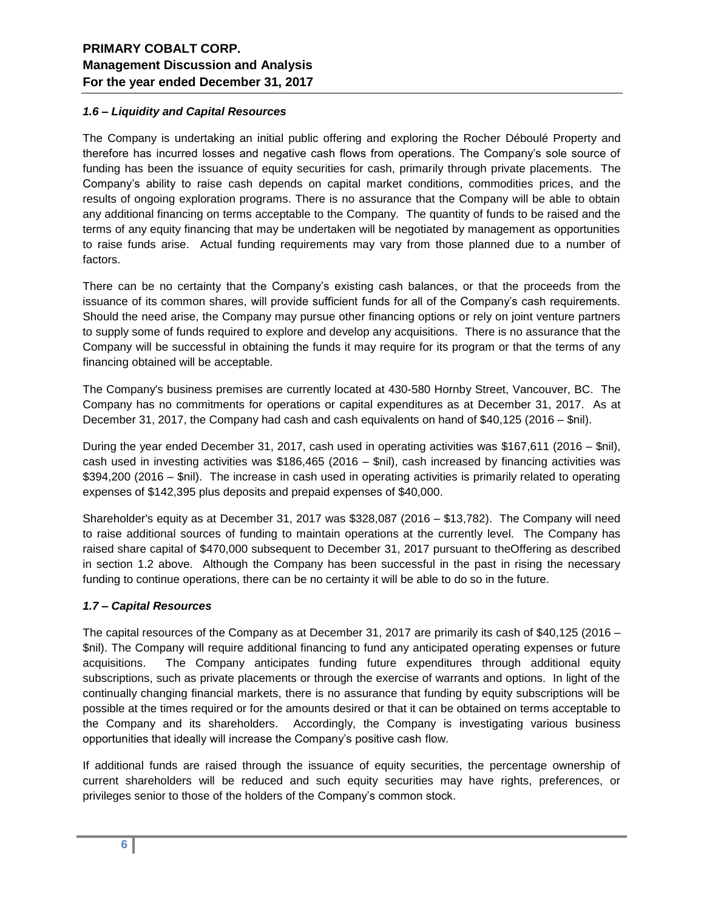### *1.6 – Liquidity and Capital Resources*

The Company is undertaking an initial public offering and exploring the Rocher Déboulé Property and therefore has incurred losses and negative cash flows from operations. The Company's sole source of funding has been the issuance of equity securities for cash, primarily through private placements. The Company's ability to raise cash depends on capital market conditions, commodities prices, and the results of ongoing exploration programs. There is no assurance that the Company will be able to obtain any additional financing on terms acceptable to the Company. The quantity of funds to be raised and the terms of any equity financing that may be undertaken will be negotiated by management as opportunities to raise funds arise. Actual funding requirements may vary from those planned due to a number of factors.

There can be no certainty that the Company's existing cash balances, or that the proceeds from the issuance of its common shares, will provide sufficient funds for all of the Company's cash requirements. Should the need arise, the Company may pursue other financing options or rely on joint venture partners to supply some of funds required to explore and develop any acquisitions. There is no assurance that the Company will be successful in obtaining the funds it may require for its program or that the terms of any financing obtained will be acceptable.

The Company's business premises are currently located at 430-580 Hornby Street, Vancouver, BC. The Company has no commitments for operations or capital expenditures as at December 31, 2017. As at December 31, 2017, the Company had cash and cash equivalents on hand of \$40,125 (2016 – \$nil).

During the year ended December 31, 2017, cash used in operating activities was \$167,611 (2016 – \$nil), cash used in investing activities was \$186,465 (2016 – \$nil), cash increased by financing activities was \$394,200 (2016 – \$nil). The increase in cash used in operating activities is primarily related to operating expenses of \$142,395 plus deposits and prepaid expenses of \$40,000.

Shareholder's equity as at December 31, 2017 was \$328,087 (2016 – \$13,782). The Company will need to raise additional sources of funding to maintain operations at the currently level. The Company has raised share capital of \$470,000 subsequent to December 31, 2017 pursuant to theOffering as described in section 1.2 above. Although the Company has been successful in the past in rising the necessary funding to continue operations, there can be no certainty it will be able to do so in the future.

### *1.7 – Capital Resources*

The capital resources of the Company as at December 31, 2017 are primarily its cash of \$40,125 (2016 – \$nil). The Company will require additional financing to fund any anticipated operating expenses or future acquisitions. The Company anticipates funding future expenditures through additional equity subscriptions, such as private placements or through the exercise of warrants and options. In light of the continually changing financial markets, there is no assurance that funding by equity subscriptions will be possible at the times required or for the amounts desired or that it can be obtained on terms acceptable to the Company and its shareholders. Accordingly, the Company is investigating various business opportunities that ideally will increase the Company's positive cash flow.

If additional funds are raised through the issuance of equity securities, the percentage ownership of current shareholders will be reduced and such equity securities may have rights, preferences, or privileges senior to those of the holders of the Company's common stock.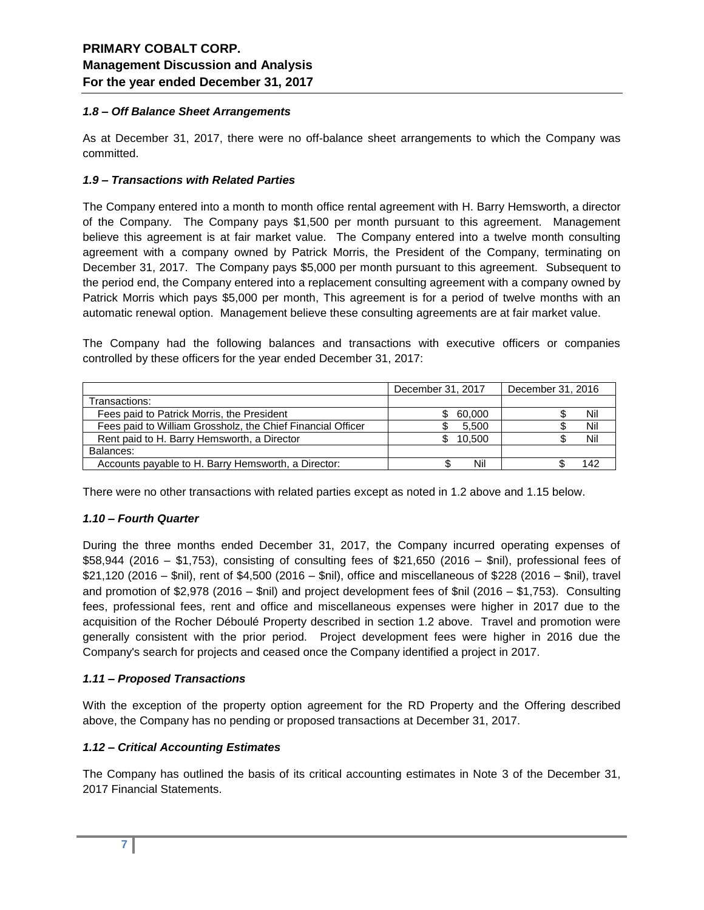### *1.8 – Off Balance Sheet Arrangements*

As at December 31, 2017, there were no off-balance sheet arrangements to which the Company was committed.

#### *1.9 – Transactions with Related Parties*

The Company entered into a month to month office rental agreement with H. Barry Hemsworth, a director of the Company. The Company pays \$1,500 per month pursuant to this agreement. Management believe this agreement is at fair market value. The Company entered into a twelve month consulting agreement with a company owned by Patrick Morris, the President of the Company, terminating on December 31, 2017. The Company pays \$5,000 per month pursuant to this agreement. Subsequent to the period end, the Company entered into a replacement consulting agreement with a company owned by Patrick Morris which pays \$5,000 per month, This agreement is for a period of twelve months with an automatic renewal option. Management believe these consulting agreements are at fair market value.

The Company had the following balances and transactions with executive officers or companies controlled by these officers for the year ended December 31, 2017:

|                                                             | December 31, 2017 | December 31, 2016 |
|-------------------------------------------------------------|-------------------|-------------------|
| Transactions:                                               |                   |                   |
| Fees paid to Patrick Morris, the President                  | 60.000            | Nil               |
| Fees paid to William Grossholz, the Chief Financial Officer | 5.500             | Nil               |
| Rent paid to H. Barry Hemsworth, a Director                 | 10.500            | Nil               |
| Balances:                                                   |                   |                   |
| Accounts payable to H. Barry Hemsworth, a Director:         | Nil               |                   |

There were no other transactions with related parties except as noted in 1.2 above and 1.15 below.

### *1.10 – Fourth Quarter*

During the three months ended December 31, 2017, the Company incurred operating expenses of \$58,944 (2016 – \$1,753), consisting of consulting fees of \$21,650 (2016 – \$nil), professional fees of \$21,120 (2016 – \$nil), rent of \$4,500 (2016 – \$nil), office and miscellaneous of \$228 (2016 – \$nil), travel and promotion of \$2,978 (2016 – \$nil) and project development fees of \$nil (2016 – \$1,753). Consulting fees, professional fees, rent and office and miscellaneous expenses were higher in 2017 due to the acquisition of the Rocher Déboulé Property described in section 1.2 above. Travel and promotion were generally consistent with the prior period. Project development fees were higher in 2016 due the Company's search for projects and ceased once the Company identified a project in 2017.

### *1.11 – Proposed Transactions*

With the exception of the property option agreement for the RD Property and the Offering described above, the Company has no pending or proposed transactions at December 31, 2017.

#### *1.12 – Critical Accounting Estimates*

The Company has outlined the basis of its critical accounting estimates in Note 3 of the December 31, 2017 Financial Statements.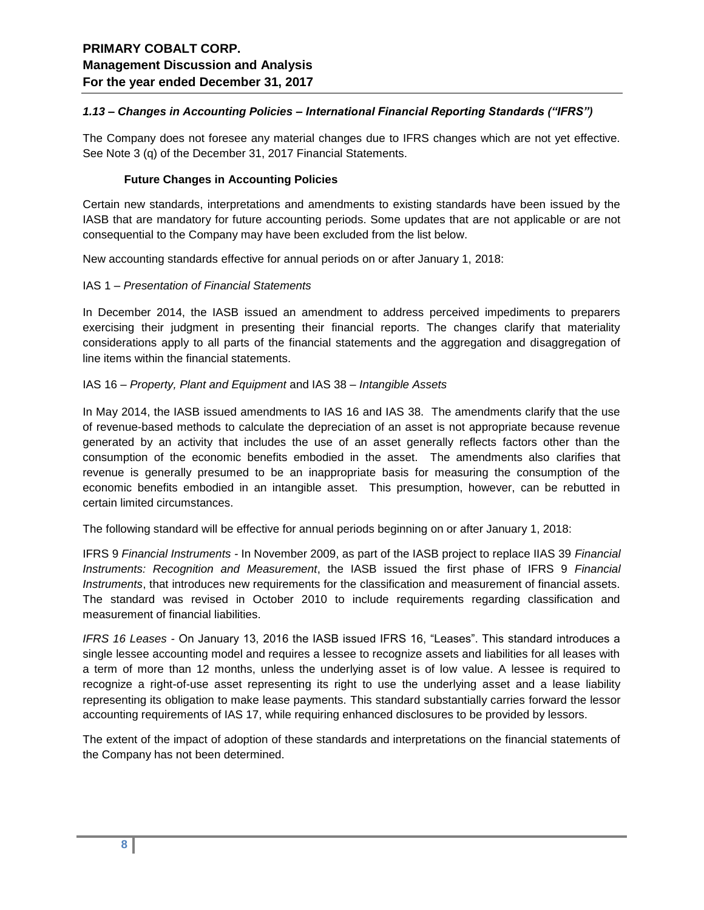### *1.13 – Changes in Accounting Policies – International Financial Reporting Standards ("IFRS")*

The Company does not foresee any material changes due to IFRS changes which are not yet effective. See Note 3 (q) of the December 31, 2017 Financial Statements.

#### **Future Changes in Accounting Policies**

Certain new standards, interpretations and amendments to existing standards have been issued by the IASB that are mandatory for future accounting periods. Some updates that are not applicable or are not consequential to the Company may have been excluded from the list below.

New accounting standards effective for annual periods on or after January 1, 2018:

#### IAS 1 – *Presentation of Financial Statements*

In December 2014, the IASB issued an amendment to address perceived impediments to preparers exercising their judgment in presenting their financial reports. The changes clarify that materiality considerations apply to all parts of the financial statements and the aggregation and disaggregation of line items within the financial statements.

#### IAS 16 – *Property, Plant and Equipment* and IAS 38 – *Intangible Assets*

In May 2014, the IASB issued amendments to IAS 16 and IAS 38. The amendments clarify that the use of revenue-based methods to calculate the depreciation of an asset is not appropriate because revenue generated by an activity that includes the use of an asset generally reflects factors other than the consumption of the economic benefits embodied in the asset. The amendments also clarifies that revenue is generally presumed to be an inappropriate basis for measuring the consumption of the economic benefits embodied in an intangible asset. This presumption, however, can be rebutted in certain limited circumstances.

The following standard will be effective for annual periods beginning on or after January 1, 2018:

IFRS 9 *Financial Instruments -* In November 2009, as part of the IASB project to replace IIAS 39 *Financial Instruments: Recognition and Measurement*, the IASB issued the first phase of IFRS 9 *Financial Instruments*, that introduces new requirements for the classification and measurement of financial assets. The standard was revised in October 2010 to include requirements regarding classification and measurement of financial liabilities.

*IFRS 16 Leases -* On January 13, 2016 the IASB issued IFRS 16, "Leases". This standard introduces a single lessee accounting model and requires a lessee to recognize assets and liabilities for all leases with a term of more than 12 months, unless the underlying asset is of low value. A lessee is required to recognize a right-of-use asset representing its right to use the underlying asset and a lease liability representing its obligation to make lease payments. This standard substantially carries forward the lessor accounting requirements of IAS 17, while requiring enhanced disclosures to be provided by lessors.

The extent of the impact of adoption of these standards and interpretations on the financial statements of the Company has not been determined.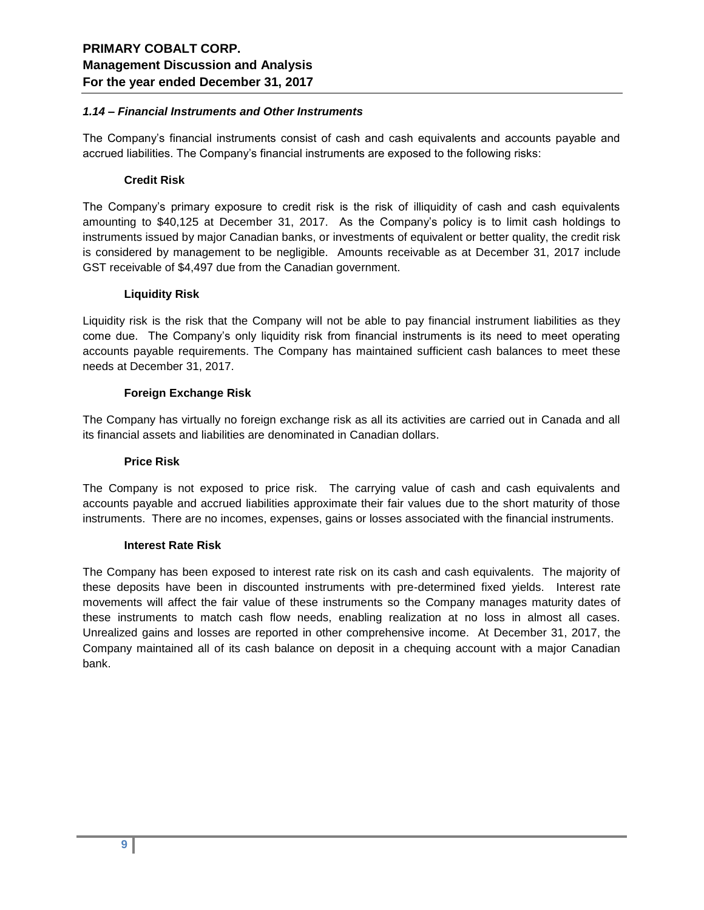#### *1.14 – Financial Instruments and Other Instruments*

The Company's financial instruments consist of cash and cash equivalents and accounts payable and accrued liabilities. The Company's financial instruments are exposed to the following risks:

#### **Credit Risk**

The Company's primary exposure to credit risk is the risk of illiquidity of cash and cash equivalents amounting to \$40,125 at December 31, 2017. As the Company's policy is to limit cash holdings to instruments issued by major Canadian banks, or investments of equivalent or better quality, the credit risk is considered by management to be negligible. Amounts receivable as at December 31, 2017 include GST receivable of \$4,497 due from the Canadian government.

#### **Liquidity Risk**

Liquidity risk is the risk that the Company will not be able to pay financial instrument liabilities as they come due. The Company's only liquidity risk from financial instruments is its need to meet operating accounts payable requirements. The Company has maintained sufficient cash balances to meet these needs at December 31, 2017.

#### **Foreign Exchange Risk**

The Company has virtually no foreign exchange risk as all its activities are carried out in Canada and all its financial assets and liabilities are denominated in Canadian dollars.

#### **Price Risk**

The Company is not exposed to price risk. The carrying value of cash and cash equivalents and accounts payable and accrued liabilities approximate their fair values due to the short maturity of those instruments. There are no incomes, expenses, gains or losses associated with the financial instruments.

#### **Interest Rate Risk**

The Company has been exposed to interest rate risk on its cash and cash equivalents. The majority of these deposits have been in discounted instruments with pre-determined fixed yields. Interest rate movements will affect the fair value of these instruments so the Company manages maturity dates of these instruments to match cash flow needs, enabling realization at no loss in almost all cases. Unrealized gains and losses are reported in other comprehensive income. At December 31, 2017, the Company maintained all of its cash balance on deposit in a chequing account with a major Canadian bank.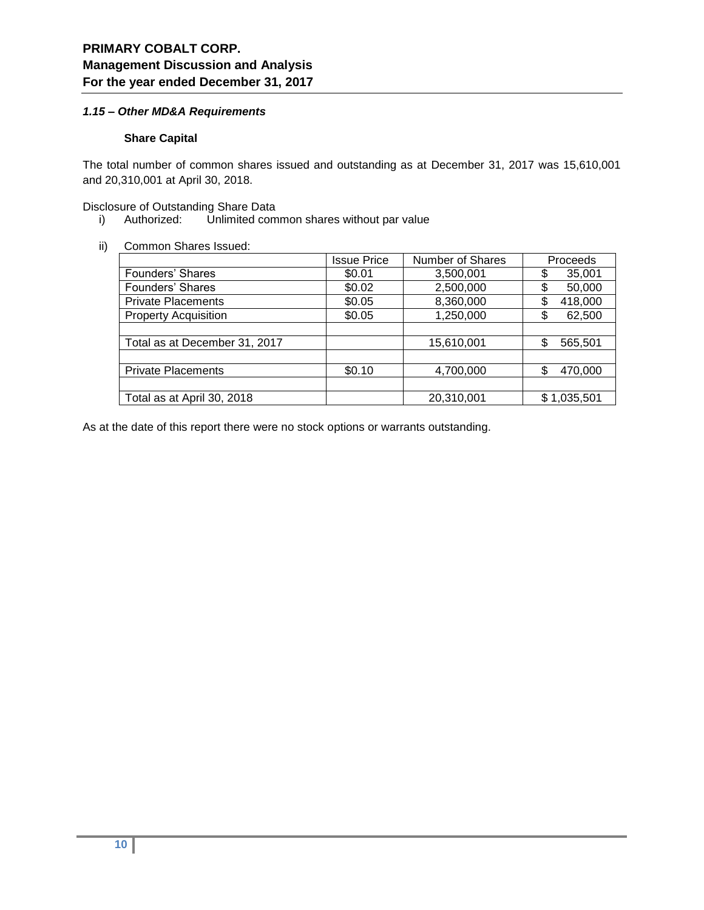### *1.15 – Other MD&A Requirements*

### **Share Capital**

The total number of common shares issued and outstanding as at December 31, 2017 was 15,610,001 and 20,310,001 at April 30, 2018.

Disclosure of Outstanding Share Data

- i) Authorized: Unlimited common shares without par value
- ii) Common Shares Issued:

|                               | <b>Issue Price</b> | <b>Number of Shares</b> | Proceeds      |
|-------------------------------|--------------------|-------------------------|---------------|
| Founders' Shares              | \$0.01             | 3,500,001               | 35,001<br>\$  |
| Founders' Shares              | \$0.02             | 2,500,000               | \$<br>50,000  |
| <b>Private Placements</b>     | \$0.05             | 8,360,000               | \$<br>418,000 |
| <b>Property Acquisition</b>   | \$0.05             | 1,250,000               | 62,500<br>\$  |
|                               |                    |                         |               |
| Total as at December 31, 2017 |                    | 15,610,001              | \$<br>565,501 |
|                               |                    |                         |               |
| <b>Private Placements</b>     | \$0.10             | 4,700,000               | \$<br>470,000 |
|                               |                    |                         |               |
| Total as at April 30, 2018    |                    | 20,310,001              | \$1,035,501   |

As at the date of this report there were no stock options or warrants outstanding.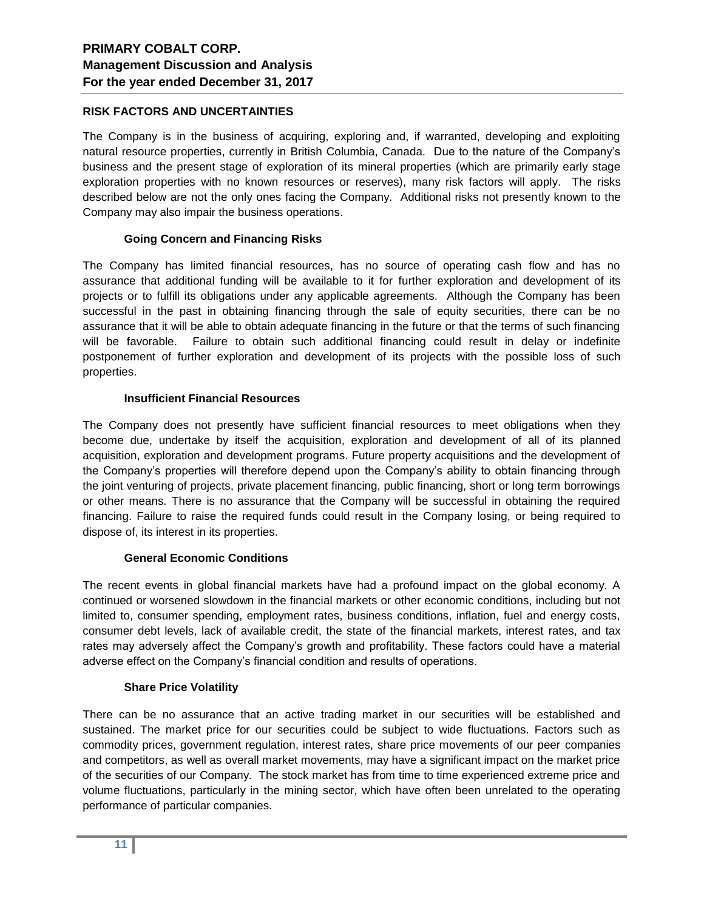### **RISK FACTORS AND UNCERTAINTIES**

The Company is in the business of acquiring, exploring and, if warranted, developing and exploiting natural resource properties, currently in British Columbia, Canada. Due to the nature of the Company's business and the present stage of exploration of its mineral properties (which are primarily early stage exploration properties with no known resources or reserves), many risk factors will apply. The risks described below are not the only ones facing the Company. Additional risks not presently known to the Company may also impair the business operations.

### **Going Concern and Financing Risks**

The Company has limited financial resources, has no source of operating cash flow and has no assurance that additional funding will be available to it for further exploration and development of its projects or to fulfill its obligations under any applicable agreements. Although the Company has been successful in the past in obtaining financing through the sale of equity securities, there can be no assurance that it will be able to obtain adequate financing in the future or that the terms of such financing will be favorable. Failure to obtain such additional financing could result in delay or indefinite postponement of further exploration and development of its projects with the possible loss of such properties.

### **Insufficient Financial Resources**

The Company does not presently have sufficient financial resources to meet obligations when they become due, undertake by itself the acquisition, exploration and development of all of its planned acquisition, exploration and development programs. Future property acquisitions and the development of the Company's properties will therefore depend upon the Company's ability to obtain financing through the joint venturing of projects, private placement financing, public financing, short or long term borrowings or other means. There is no assurance that the Company will be successful in obtaining the required financing. Failure to raise the required funds could result in the Company losing, or being required to dispose of, its interest in its properties.

### **General Economic Conditions**

The recent events in global financial markets have had a profound impact on the global economy. A continued or worsened slowdown in the financial markets or other economic conditions, including but not limited to, consumer spending, employment rates, business conditions, inflation, fuel and energy costs, consumer debt levels, lack of available credit, the state of the financial markets, interest rates, and tax rates may adversely affect the Company's growth and profitability. These factors could have a material adverse effect on the Company's financial condition and results of operations.

### **Share Price Volatility**

There can be no assurance that an active trading market in our securities will be established and sustained. The market price for our securities could be subject to wide fluctuations. Factors such as commodity prices, government regulation, interest rates, share price movements of our peer companies and competitors, as well as overall market movements, may have a significant impact on the market price of the securities of our Company. The stock market has from time to time experienced extreme price and volume fluctuations, particularly in the mining sector, which have often been unrelated to the operating performance of particular companies.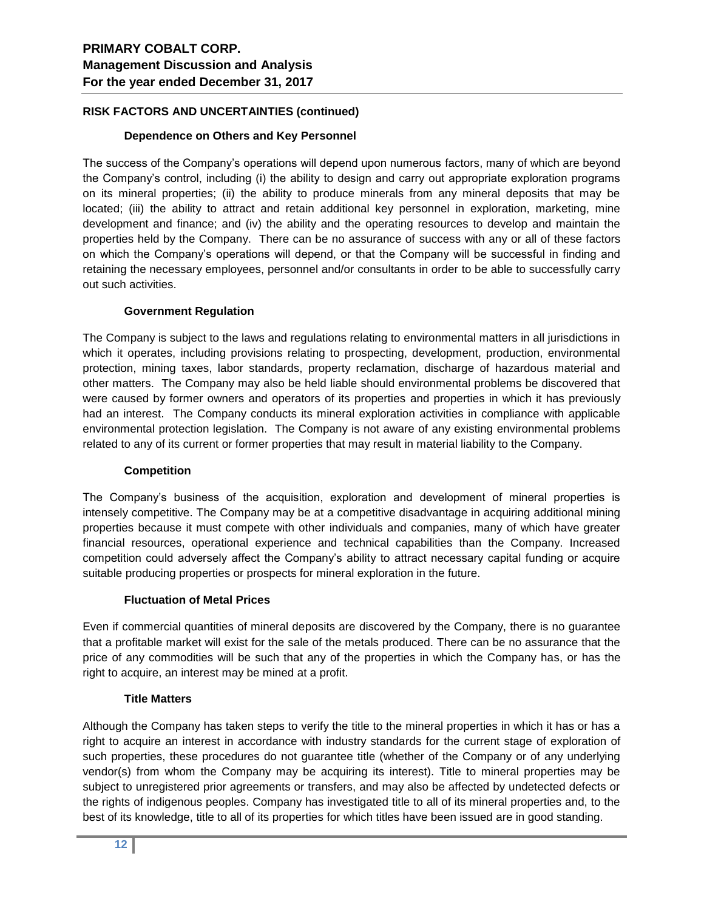## **RISK FACTORS AND UNCERTAINTIES (continued)**

### **Dependence on Others and Key Personnel**

The success of the Company's operations will depend upon numerous factors, many of which are beyond the Company's control, including (i) the ability to design and carry out appropriate exploration programs on its mineral properties; (ii) the ability to produce minerals from any mineral deposits that may be located; (iii) the ability to attract and retain additional key personnel in exploration, marketing, mine development and finance; and (iv) the ability and the operating resources to develop and maintain the properties held by the Company. There can be no assurance of success with any or all of these factors on which the Company's operations will depend, or that the Company will be successful in finding and retaining the necessary employees, personnel and/or consultants in order to be able to successfully carry out such activities.

### **Government Regulation**

The Company is subject to the laws and regulations relating to environmental matters in all jurisdictions in which it operates, including provisions relating to prospecting, development, production, environmental protection, mining taxes, labor standards, property reclamation, discharge of hazardous material and other matters. The Company may also be held liable should environmental problems be discovered that were caused by former owners and operators of its properties and properties in which it has previously had an interest. The Company conducts its mineral exploration activities in compliance with applicable environmental protection legislation. The Company is not aware of any existing environmental problems related to any of its current or former properties that may result in material liability to the Company.

### **Competition**

The Company's business of the acquisition, exploration and development of mineral properties is intensely competitive. The Company may be at a competitive disadvantage in acquiring additional mining properties because it must compete with other individuals and companies, many of which have greater financial resources, operational experience and technical capabilities than the Company. Increased competition could adversely affect the Company's ability to attract necessary capital funding or acquire suitable producing properties or prospects for mineral exploration in the future.

### **Fluctuation of Metal Prices**

Even if commercial quantities of mineral deposits are discovered by the Company, there is no guarantee that a profitable market will exist for the sale of the metals produced. There can be no assurance that the price of any commodities will be such that any of the properties in which the Company has, or has the right to acquire, an interest may be mined at a profit.

## **Title Matters**

Although the Company has taken steps to verify the title to the mineral properties in which it has or has a right to acquire an interest in accordance with industry standards for the current stage of exploration of such properties, these procedures do not guarantee title (whether of the Company or of any underlying vendor(s) from whom the Company may be acquiring its interest). Title to mineral properties may be subject to unregistered prior agreements or transfers, and may also be affected by undetected defects or the rights of indigenous peoples. Company has investigated title to all of its mineral properties and, to the best of its knowledge, title to all of its properties for which titles have been issued are in good standing.